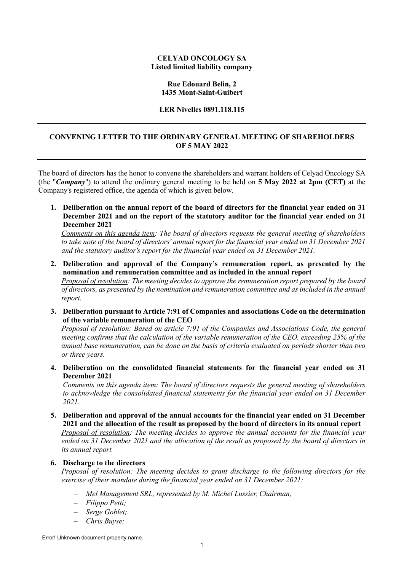#### **CELYAD ONCOLOGY SA Listed limited liability company**

## **Rue Edouard Belin, 2 1435 Mont-Saint-Guibert**

#### **LER Nivelles 0891.118.115**

# **CONVENING LETTER TO THE ORDINARY GENERAL MEETING OF SHAREHOLDERS OF 5 MAY 2022**

The board of directors has the honor to convene the shareholders and warrant holders of Celyad Oncology SA (the "*Company*") to attend the ordinary general meeting to be held on **5 May 2022 at 2pm (CET)** at the Company's registered office, the agenda of which is given below.

**1. Deliberation on the annual report of the board of directors for the financial year ended on 31 December 2021 and on the report of the statutory auditor for the financial year ended on 31 December 2021** 

*Comments on this agenda item: The board of directors requests the general meeting of shareholders to take note of the board of directors' annual report for the financial year ended on 31 December 2021 and the statutory auditor's report for the financial year ended on 31 December 2021.* 

- **2. Deliberation and approval of the Company's remuneration report, as presented by the nomination and remuneration committee and as included in the annual report**  *Proposal of resolution: The meeting decides to approve the remuneration report prepared by the board of directors, as presented by the nomination and remuneration committee and as included in the annual report.*
- **3. Deliberation pursuant to Article 7:91 of Companies and associations Code on the determination of the variable remuneration of the CEO**

*Proposal of resolution: Based on article 7:91 of the Companies and Associations Code, the general meeting confirms that the calculation of the variable remuneration of the CEO, exceeding 25% of the annual base remuneration, can be done on the basis of criteria evaluated on periods shorter than two or three years.* 

**4. Deliberation on the consolidated financial statements for the financial year ended on 31 December 2021** 

*Comments on this agenda item: The board of directors requests the general meeting of shareholders to acknowledge the consolidated financial statements for the financial year ended on 31 December 2021.* 

**5. Deliberation and approval of the annual accounts for the financial year ended on 31 December 2021 and the allocation of the result as proposed by the board of directors in its annual report**  *Proposal of resolution: The meeting decides to approve the annual accounts for the financial year ended on 31 December 2021 and the allocation of the result as proposed by the board of directors in its annual report.*

## **6. Discharge to the directors**

*Proposal of resolution: The meeting decides to grant discharge to the following directors for the exercise of their mandate during the financial year ended on 31 December 2021:* 

- − *Mel Management SRL, represented by M. Michel Lussier, Chairman;*
- − *Filippo Petti;*
- − *Serge Goblet;*
- − *Chris Buyse;*

Error! Unknown document property name.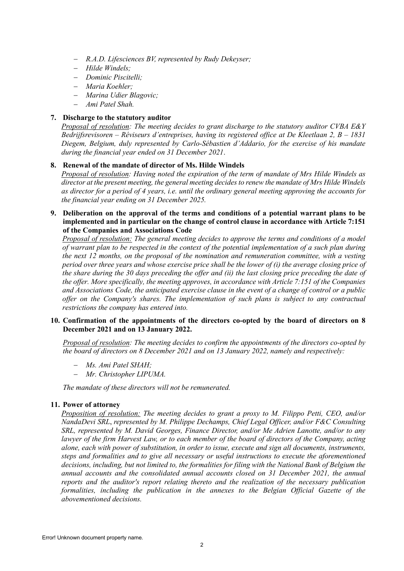- − *R.A.D. Lifesciences BV, represented by Rudy Dekeyser;*
- − *Hilde Windels;*
- − *Dominic Piscitelli;*
- − *Maria Koehler;*
- − *Marina Udier Blagovic;*
- − *Ami Patel Shah.*

# **7. Discharge to the statutory auditor**

*Proposal of resolution: The meeting decides to grant discharge to the statutory auditor CVBA E&Y Bedrijfsrevisoren – Réviseurs d'entreprises, having its registered office at De Kleetlaan 2, B – 1831 Diegem, Belgium, duly represented by Carlo-Sébastien d'Addario, for the exercise of his mandate during the financial year ended on 31 December 2021*.

# **8. Renewal of the mandate of director of Ms. Hilde Windels**

*Proposal of resolution: Having noted the expiration of the term of mandate of Mrs Hilde Windels as director at the present meeting, the general meeting decides to renew the mandate of Mrs Hilde Windels as director for a period of 4 years, i.e. until the ordinary general meeting approving the accounts for the financial year ending on 31 December 2025.* 

## **9. Deliberation on the approval of the terms and conditions of a potential warrant plans to be implemented and in particular on the change of control clause in accordance with Article 7:151 of the Companies and Associations Code**

*Proposal of resolution: The general meeting decides to approve the terms and conditions of a model of warrant plan to be respected in the context of the potential implementation of a such plan during the next 12 months, on the proposal of the nomination and remuneration committee, with a vesting period over three years and whose exercise price shall be the lower of (i) the average closing price of the share during the 30 days preceding the offer and (ii) the last closing price preceding the date of the offer. More specifically, the meeting approves, in accordance with Article 7:151 of the Companies and Associations Code, the anticipated exercise clause in the event of a change of control or a public offer on the Company's shares. The implementation of such plans is subject to any contractual restrictions the company has entered into.*

#### **10. Confirmation of the appointments of the directors co-opted by the board of directors on 8 December 2021 and on 13 January 2022.**

*Proposal of resolution: The meeting decides to confirm the appointments of the directors co-opted by the board of directors on 8 December 2021 and on 13 January 2022, namely and respectively:*

- − *Ms. Ami Patel SHAH;*
- − *Mr. Christopher LIPUMA.*

*The mandate of these directors will not be remunerated.* 

## **11. Power of attorney**

*Proposition of resolution: The meeting decides to grant a proxy to M. Filippo Petti, CEO, and/or NandaDevi SRL*, *represented by M. Philippe Dechamps, Chief Legal Officer, and/or F&C Consulting SRL, represented by M. David Georges, Finance Director, and/or Me Adrien Lanotte, and/or to any lawyer of the firm Harvest Law, or to each member of the board of directors of the Company, acting alone, each with power of substitution, in order to issue, execute and sign all documents, instruments, steps and formalities and to give all necessary or useful instructions to execute the aforementioned decisions, including, but not limited to, the formalities for filing with the National Bank of Belgium the annual accounts and the consolidated annual accounts closed on 31 December 2021, the annual reports and the auditor's report relating thereto and the realization of the necessary publication formalities, including the publication in the annexes to the Belgian Official Gazette of the abovementioned decisions.*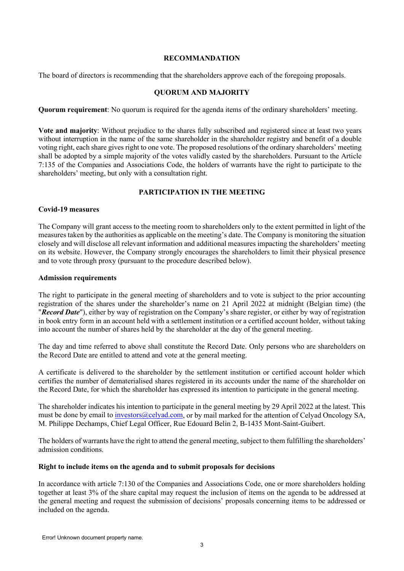#### **RECOMMANDATION**

The board of directors is recommending that the shareholders approve each of the foregoing proposals.

# **QUORUM AND MAJORITY**

**Quorum requirement**: No quorum is required for the agenda items of the ordinary shareholders' meeting.

**Vote and majority**: Without prejudice to the shares fully subscribed and registered since at least two years without interruption in the name of the same shareholder in the shareholder registry and benefit of a double voting right, each share gives right to one vote. The proposed resolutions of the ordinary shareholders' meeting shall be adopted by a simple majority of the votes validly casted by the shareholders. Pursuant to the Article 7:135 of the Companies and Associations Code, the holders of warrants have the right to participate to the shareholders' meeting, but only with a consultation right.

## **PARTICIPATION IN THE MEETING**

#### **Covid-19 measures**

The Company will grant access to the meeting room to shareholders only to the extent permitted in light of the measures taken by the authorities as applicable on the meeting's date. The Company is monitoring the situation closely and will disclose all relevant information and additional measures impacting the shareholders' meeting on its website. However, the Company strongly encourages the shareholders to limit their physical presence and to vote through proxy (pursuant to the procedure described below).

#### **Admission requirements**

The right to participate in the general meeting of shareholders and to vote is subject to the prior accounting registration of the shares under the shareholder's name on 21 April 2022 at midnight (Belgian time) (the "*Record Date*"), either by way of registration on the Company's share register, or either by way of registration in book entry form in an account held with a settlement institution or a certified account holder, without taking into account the number of shares held by the shareholder at the day of the general meeting.

The day and time referred to above shall constitute the Record Date. Only persons who are shareholders on the Record Date are entitled to attend and vote at the general meeting.

A certificate is delivered to the shareholder by the settlement institution or certified account holder which certifies the number of dematerialised shares registered in its accounts under the name of the shareholder on the Record Date, for which the shareholder has expressed its intention to participate in the general meeting.

The shareholder indicates his intention to participate in the general meeting by 29 April 2022 at the latest. This must be done by email to [investors@celyad.com,](mailto:investors@celyad.com) or by mail marked for the attention of Celyad Oncology SA, M. Philippe Dechamps, Chief Legal Officer, Rue Edouard Belin 2, B-1435 Mont-Saint-Guibert.

The holders of warrants have the right to attend the general meeting, subject to them fulfilling the shareholders' admission conditions.

#### **Right to include items on the agenda and to submit proposals for decisions**

In accordance with article 7:130 of the Companies and Associations Code, one or more shareholders holding together at least 3% of the share capital may request the inclusion of items on the agenda to be addressed at the general meeting and request the submission of decisions' proposals concerning items to be addressed or included on the agenda.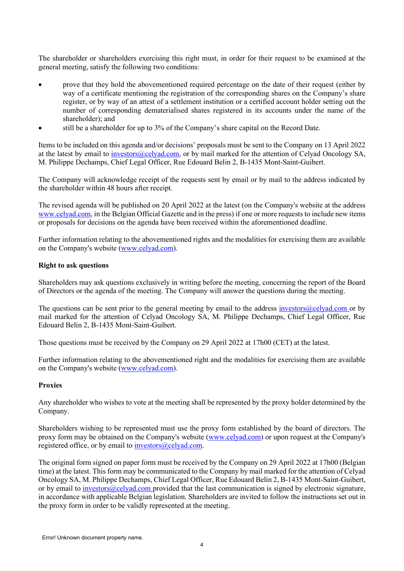The shareholder or shareholders exercising this right must, in order for their request to be examined at the general meeting, satisfy the following two conditions:

- prove that they hold the abovementioned required percentage on the date of their request (either by way of a certificate mentioning the registration of the corresponding shares on the Company's share register, or by way of an attest of a settlement institution or a certified account holder setting out the number of corresponding dematerialised shares registered in its accounts under the name of the shareholder); and
- still be a shareholder for up to 3% of the Company's share capital on the Record Date.

Items to be included on this agenda and/or decisions' proposals must be sent to the Company on 13 April 2022 at the latest by email to [investors@celyad.com,](mailto:investors@celyad.com) or by mail marked for the attention of Celyad Oncology SA, M. Philippe Dechamps, Chief Legal Officer, Rue Edouard Belin 2, B-1435 Mont-Saint-Guibert.

The Company will acknowledge receipt of the requests sent by email or by mail to the address indicated by the shareholder within 48 hours after receipt.

The revised agenda will be published on 20 April 2022 at the latest (on the Company's website at the address [www.celyad.com,](http://www.celyad.com/) in the Belgian Official Gazette and in the press) if one or more requests to include new items or proposals for decisions on the agenda have been received within the aforementioned deadline.

Further information relating to the abovementioned rights and the modalities for exercising them are available on the Company's website [\(www.celyad.com\)](http://www.celyad.com/).

#### **Right to ask questions**

Shareholders may ask questions exclusively in writing before the meeting, concerning the report of the Board of Directors or the agenda of the meeting. The Company will answer the questions during the meeting.

The questions can be sent prior to the general meeting by email to the address investors (a) celyad.com or by mail marked for the attention of Celyad Oncology SA, M. Philippe Dechamps, Chief Legal Officer, Rue Edouard Belin 2, B-1435 Mont-Saint-Guibert.

Those questions must be received by the Company on 29 April 2022 at 17h00 (CET) at the latest.

Further information relating to the abovementioned right and the modalities for exercising them are available on the Company's website [\(www.celyad.com\)](http://www.celyad.com/).

#### **Proxies**

Any shareholder who wishes to vote at the meeting shall be represented by the proxy holder determined by the Company.

Shareholders wishing to be represented must use the proxy form established by the board of directors. The proxy form may be obtained on the Company's website [\(www.celyad.com\)](http://www.celyad.com/) or upon request at the Company's registered office, or by email to investors@celyad.com.

The original form signed on paper form must be received by the Company on 29 April 2022 at 17h00 (Belgian time) at the latest. This form may be communicated to the Company by mail marked for the attention of Celyad Oncology SA, M. Philippe Dechamps, Chief Legal Officer, Rue Edouard Belin 2, B-1435 Mont-Saint-Guibert, or by email to [investors@celyad.com](mailto:investors@celyad.com) provided that the last communication is signed by electronic signature, in accordance with applicable Belgian legislation. Shareholders are invited to follow the instructions set out in the proxy form in order to be validly represented at the meeting.